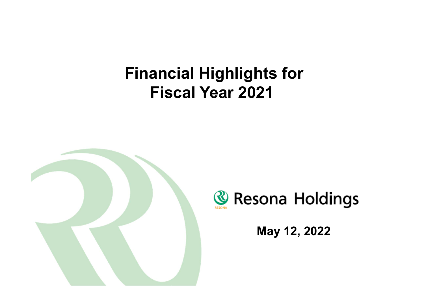# **Financial Highlights for Fiscal Year 2021**





**May 12, 2022**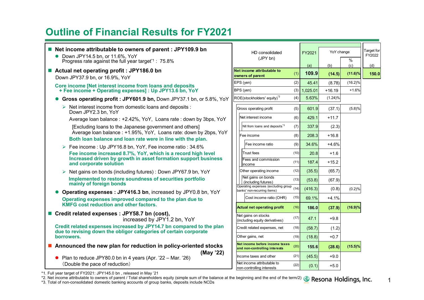### **Outline of Financial Results for FY2021**

| ■ Net income attributable to owners of parent : JPY109.9 bn<br>• Down JPY14.5 bn, or 11.6%, YoY<br>Progress rate against the full year target <sup>*1</sup> : 75.8% | YoY change<br>HD consolidated<br>FY2021<br>(JPY bn)                                                          | Target for<br>FY2022<br>$\%$ |
|---------------------------------------------------------------------------------------------------------------------------------------------------------------------|--------------------------------------------------------------------------------------------------------------|------------------------------|
| Actual net operating profit : JPY186.0 bn                                                                                                                           | (b)<br>(a)<br>Net income attributable to                                                                     | (c)<br>(d)                   |
| Down JPY37.9 bn, or 16.9%, YoY                                                                                                                                      | 109.9<br>(1)<br>(14.5)<br>owners of parent                                                                   | $(11.6)\%$<br>150.0          |
| Core income [Net interest income from loans and deposits                                                                                                            | (2)<br>EPS (yen)<br>45.41<br>(8.78)                                                                          | (16.2)%                      |
| + Fee income + Operating expenses] : Up JPY13.6 bn, YoY                                                                                                             | BPS (yen)<br>$(3)$ 1,025.01<br>$+16.19$                                                                      | $+1.6%$                      |
| Gross operating profit: JPY601.9 bn, Down JPY37.1 bn, or 5.8%, YoY                                                                                                  | ROE(stockholders' equity) <sup>*2</sup><br>(4)<br>5.63%<br>(1.24)%                                           |                              |
| $\triangleright$ Net interest income from domestic loans and deposits :<br>Down JPY2.3 bn, YoY                                                                      | 601.9<br>Gross operating profit<br>(5)<br>(37.1)                                                             | (5.8)%                       |
| Average loan balance: +2.42%, YoY, Loans rate: down by 3bps, YoY                                                                                                    | Net interest income<br>(6)<br>429.1<br>$+11.7$                                                               |                              |
| [Excluding loans to the Japanese government and others]                                                                                                             | NII from loans and deposits <sup>3</sup><br>(7)<br>337.9<br>(2.3)                                            |                              |
| Average loan balance : +1.95%, YoY, Loans rate: down by 2bps, YoY<br>Both loan balance and loan rate were in line with the plan.                                    | 208.3<br>$+16.8$<br>(8)<br>Fee income                                                                        |                              |
| ▶ Fee income : Up JPY16.8 bn, YoY, Fee income ratio : 34.6%                                                                                                         | 34.6%<br>$+4.6%$<br>Fee income ratio<br>(9)                                                                  |                              |
| Fee income increased 8.7%, YoY, which is a record high level                                                                                                        | <b>Trust fees</b><br>(10)<br>20.8<br>$+1.6$                                                                  |                              |
| Increased driven by growth in asset formation support business<br>and corporate solution                                                                            | Fees and commission<br>(11)<br>187.4<br>$+15.2$<br>income                                                    |                              |
| > Net gains on bonds (including futures) : Down JPY67.9 bn, YoY                                                                                                     | Other operating income<br>(12)<br>(35.5)<br>(65.7)                                                           |                              |
| Implemented to restore soundness of securities portfolio<br>mainly of foreign bonds                                                                                 | Net gains on bonds<br>(13)<br>(53.8)<br>(67.9)<br>(including futures)<br>Operating expenses (excluding group |                              |
| Operating expenses: JPY416.3 bn, increased by JPY0.8 bn, YoY                                                                                                        | (14)<br>(416.3)<br>(0.8)<br>banks' non-recurring items)                                                      | (0.2)%                       |
| Operating expenses improved compared to the plan due to                                                                                                             | Cost income ratio (OHR)<br>(15)<br>69.1%<br>$+4.1%$                                                          |                              |
| <b>KMFG cost reduction and other factors.</b>                                                                                                                       | (16)<br><b>Actual net operating profit</b><br>186.0<br>(37.9)                                                | $(16.9)\%$                   |
| ■ Credit related expenses : JPY58.7 bn (cost),<br>increased by JPY1.2 bn, YoY                                                                                       | Net gains on stocks<br>(17)<br>47.1<br>$+9.8$<br>(including equity derivatives)                              |                              |
| Credit related expenses increased by JPY14.7 bn compared to the plan<br>due to revising down the obligor categories of certain corporate                            | Credit related expenses, net<br>(18)<br>(58.7)<br>(1.2)                                                      |                              |
| borrowers.                                                                                                                                                          | Other gains, net<br>(19)<br>(18.8)<br>$+0.7$                                                                 |                              |
| ■ Announced the new plan for reduction in policy-oriented stocks                                                                                                    | Net income before income taxes<br>(20)<br>155.6<br>(28.6)<br>and non-controlling interests                   | $(15.5)\%$                   |
| (May '22)<br>Plan to reduce JPY80.0 bn in 4 years (Apr. '22 – Mar. '26)                                                                                             | (21)<br>(45.5)<br>$+9.0$<br>Income taxes and other                                                           |                              |
| (Double the pace of reduction)                                                                                                                                      | Net income attributable to<br>(22)<br>(0.1)<br>$+5.0$<br>non-controlling interests                           |                              |

\*1. Full year target of FY2021: JPY145.0 bn , released in May '21

\*2. Net income attributable to owners of parent / Total shareholders equity (simple sum of the balance at the beginning and the end of the term/2) <mark>《</mark> Resona Holdings, Inc. 1<br>\*3. Total of non-consolidated domestic banki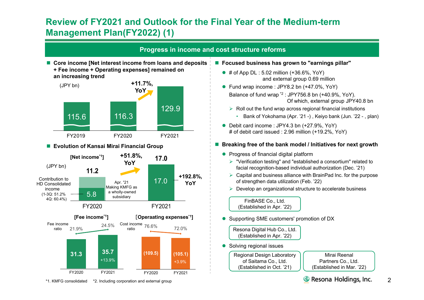### **Review of FY2021 and Outlook for the Final Year of the Medium-term Management Plan(FY2022) (1)**



\*1. KMFG consolidated \*2. Including corporation and external group

- **Focused business has grown to "earnings pillar"** 
	- $\bullet$  # of App DL : 5.02 million (+36.6%, YoY) and external group 0.69 million
	- Fund wrap income : JPY8.2 bn (+47.0%, YoY) Balance of fund wrap \*2 : JPY756.8 bn (+40.9%, YoY). Of which, external group JPY40.8 bn
		- $\triangleright$  Roll out the fund wrap across regional financial institutions
			- Bank of Yokohama (Apr. '21 -) , Keiyo bank (Jun. '22 , plan)
	- Debit card income : JPY4.3 bn (+27.9%, YoY) # of debit card issued : 2.96 million (+19.2%, YoY)

#### ■ Breaking free of the bank model / Initiatives for next growth

- Progress of financial digital platform
	- "Verification testing" and "established a consortium" related to facial recognition-based individual authorization (Dec. '21)
	- $\triangleright$  Capital and business alliance with BrainPad Inc. for the purpose of strengthen data utilization (Feb. '22)
	- Develop an organizational structure to accelerate business

FinBASE Co., Ltd. (Established in Apr. '22)

● Supporting SME customers' promotion of DX

Resona Digital Hub Co., Ltd. (Established in Apr. '22)

Solving regional issues

Regional Design Laboratory of Saitama Co., Ltd. (Established in Oct. '21)

Mirai Reenal Partners Co., Ltd. (Established in Mar. '22)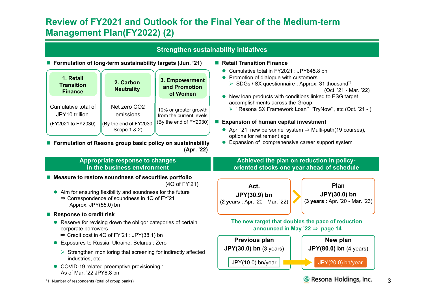### **Review of FY2021 and Outlook for the Final Year of the Medium-term Management Plan(FY2022) (2)**

| <b>Strengthen sustainability initiatives</b>                                                                    |                                                                                                                                                                                                                                                                                                           |                                                                                                                                                                        |                                                                                                                                                                                                                                                                                                                                                                                                                               |                                                                                   |  |  |  |
|-----------------------------------------------------------------------------------------------------------------|-----------------------------------------------------------------------------------------------------------------------------------------------------------------------------------------------------------------------------------------------------------------------------------------------------------|------------------------------------------------------------------------------------------------------------------------------------------------------------------------|-------------------------------------------------------------------------------------------------------------------------------------------------------------------------------------------------------------------------------------------------------------------------------------------------------------------------------------------------------------------------------------------------------------------------------|-----------------------------------------------------------------------------------|--|--|--|
| 1. Retail<br><b>Transition</b><br><b>Finance</b><br>Cumulative total of<br>JPY10 trillion<br>(FY2021 to FY2030) | ■ Formulation of long-term sustainability targets (Jun. '21)<br>2. Carbon<br><b>Neutrality</b><br>Net zero CO2<br>emissions<br>$(By)$ the end of FY2030,<br>Scope 1 & 2)                                                                                                                                  | 3. Empowerment<br>and Promotion<br>of Women<br>10% or greater growth<br>from the current levels<br>(By the end of $FY2030$ )                                           | Retail Transition Finance<br>Cumulative total in FY2021 : JPY845.8 bn<br>Promotion of dialogue with customers<br>$\bullet$<br>> SDGs / SX questionnaire : Approx. 31 thousand*1<br>New loan products with conditions linked to ESG target<br>accomplishments across the Group<br>■ Expansion of human capital investment<br>Apr. '21 new personnel system $\Rightarrow$ Multi-path(19 courses),<br>options for retirement age | (Oct. '21 - Mar. '22)<br>> "Resona SX Framework Loan" "TryNow", etc (Oct. '21 - ) |  |  |  |
|                                                                                                                 | Appropriate response to changes<br>in the business environment                                                                                                                                                                                                                                            | ■ Formulation of Resona group basic policy on sustainability<br>(Apr. '22)                                                                                             | Expansion of comprehensive career support system<br>Achieved the plan on reduction in policy-<br>oriented stocks one year ahead of schedule                                                                                                                                                                                                                                                                                   |                                                                                   |  |  |  |
| Approx. JPY(55.0) bn                                                                                            | Measure to restore soundness of securities portfolio<br>Aim for ensuring flexibility and soundness for the future<br>$\Rightarrow$ Correspondence of soundness in 4Q of FY'21 :                                                                                                                           | (4Q of FY'21)                                                                                                                                                          | Act.<br>JPY(30.9) bn<br>(2 years : Apr. '20 - Mar. '22)                                                                                                                                                                                                                                                                                                                                                                       | Plan<br>JPY(30.0) bn<br>(3 years : Apr. '20 - Mar. '23)                           |  |  |  |
| <b>Response to credit risk</b><br>corporate borrowers<br>industries, etc.                                       | • Reserve for revising down the obligor categories of certain<br>$\Rightarrow$ Credit cost in 4Q of FY'21 : JPY(38.1) bn<br>Exposures to Russia, Ukraine, Belarus : Zero<br>$\triangleright$ Strengthen monitoring that screening for indirectly affected<br>• COVID-19 related preemptive provisioning : | The new target that doubles the pace of reduction<br>announced in May '22 $\Rightarrow$ page 14<br>Previous plan<br><b>JPY(30.0) bn</b> (3 years)<br>JPY(10.0) bn/year | New plan<br><b>JPY(80.0) bn</b> (4 years)<br>JPY(20.0) bn/year                                                                                                                                                                                                                                                                                                                                                                |                                                                                   |  |  |  |
| As of Mar. '22 JPY8.8 bn<br>Resona Holdings, Inc.<br>*1. Number of respondents (total of group banks)           |                                                                                                                                                                                                                                                                                                           |                                                                                                                                                                        |                                                                                                                                                                                                                                                                                                                                                                                                                               |                                                                                   |  |  |  |

3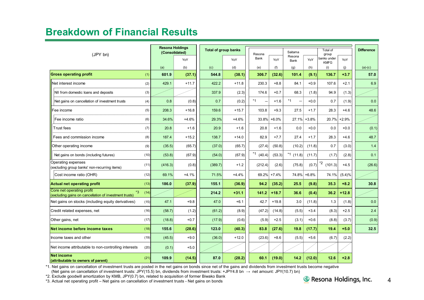### **Breakdown of Financial Results**

|                                                                                                   |                 | <b>Resona Holdings</b><br>(Consolidated) |         | <b>Total of group banks</b> |                |                | Saitama                          |         | Total of                            |         | <b>Difference</b> |
|---------------------------------------------------------------------------------------------------|-----------------|------------------------------------------|---------|-----------------------------|----------------|----------------|----------------------------------|---------|-------------------------------------|---------|-------------------|
| (JPY bn)                                                                                          |                 | YoY                                      |         | YoY                         | Resona<br>Bank | YoY            | Resona<br>Bank                   | YoY     | group<br>banks under<br><b>KMFG</b> | YoY     |                   |
|                                                                                                   | (a)             | (b)                                      | (c)     | (d)                         | (e)            | (f)            | (g)                              | (h)     | (i)                                 | (i)     | $(a)-(c)$         |
| <b>Gross operating profit</b><br>(1)                                                              | 601.9           | (37.1)                                   | 544.8   | (38.1)                      | 306.7          | (32.6)         | 101.4                            | (9.1)   | 136.7                               | $+3.7$  | 57.0              |
| Net interest income<br>(2)                                                                        | 429.1           | $+11.7$                                  | 422.2   | $+11.8$                     | 230.3          | $+8.8$         | 84.1                             | $+0.9$  | 107.6                               | $+2.1$  | 6.9               |
| NII from domestic loans and deposits<br>(3)                                                       |                 |                                          | 337.9   | (2.3)                       | 174.6          | $+0.7$         | 68.3                             | (1.8)   | 94.9                                | (1.3)   |                   |
| Net gains on cancellation of investment trusts<br>(4)                                             | 0.8             | (0.8)                                    | 0.7     | (0.2)                       | $*1$           | $+1.6$         | $*1$<br>$\overline{\phantom{0}}$ | $+0.0$  | 0.7                                 | (1.9)   | 0.0               |
| (5)<br>Fee income                                                                                 | 208.3           | $+16.8$                                  | 159.6   | $+15.7$                     | 103.8          | $+9.3$         | 27.5                             | $+1.7$  | 28.3                                | $+4.6$  | 48.6              |
| Fee income ratio<br>(6)                                                                           | 34.6%           | $+4.6%$                                  | 29.3%   | $+4.6%$                     | 33.8%          | $+6.0%$        | 27.1%                            | $+3.8%$ | 20.7%                               | $+2.9%$ |                   |
| Trust fees<br>(7)                                                                                 | 20.8            | $+1.6$                                   | 20.9    | $+1.6$                      | 20.8           | $+1.6$         | 0.0                              | $+0.0$  | 0.0                                 | $+0.0$  | (0.1)             |
| Fees and commission income<br>(8)                                                                 | 187.4           | $+15.2$                                  | 138.7   | $+14.0$                     | 82.9           | $+7.7$         | 27.4                             | $+1.7$  | 28.3                                | $+4.6$  | 48.7              |
| Other operating income<br>(9)                                                                     | (35.5)          | (65.7)                                   | (37.0)  | (65.7)                      | (27.4)         | (50.8)         | (10.2)                           | (11.8)  | 0.7                                 | (3.0)   | 1.4               |
| Net gains on bonds (including futures)                                                            | (10)<br>(53.8)  | (67.9)                                   | (54.0)  | (67.9)                      | $*1$ (40.4)    | (53.3)         | $*1$ (11.8)                      | (11.7)  | (1.7)                               | (2.8)   | 0.1               |
| Operating expenses<br>(excluding group banks' non-recurring items)                                | (11)<br>(416.3) | (0.8)                                    | (389.7) | $+1.2$                      | (212.4)        | (2.6)          | (75.8)                           | (0.7)   | $12$ (101.3)                        | $+4.5$  | (26.6)            |
| Cost income ratio (OHR)<br>(12)                                                                   | 69.1%           | $+4.1%$                                  | 71.5%   | $+4.4%$                     |                | $69.2\%$ +7.4% | 74.8%                            | $+6.8%$ | 74.1%                               | (5.4)%  |                   |
| Actual net operating profit                                                                       | (13)<br>186.0   | (37.9)                                   | 155.1   | (36.9)                      | 94.2           | (35.2)         | 25.5                             | (9.8)   | 35.3                                | $+8.2$  | 30.8              |
| Core net operating profit<br>*3<br>(14)<br>(excluding gains on cancellation of investment trusts) |                 |                                          | 214.2   | $+31.1$                     | 141.2          | $+18.7$        | 36.6                             | (0.4)   | 36.2                                | $+12.8$ |                   |
| Net gains on stocks (including equity derivatives)<br>(15)                                        | 47.1            | $+9.8$                                   | 47.0    | $+6.1$                      | 42.7           | $+19.8$        | 3.0                              | (11.8)  | 1.3                                 | (1.8)   | 0.0               |
| Credit related expenses, net                                                                      | (16)<br>(58.7)  | (1.2)                                    | (61.2)  | (8.9)                       | (47.2)         | (14.8)         | (5.5)                            | $+3.4$  | (8.3)                               | $+2.5$  | 2.4               |
| Other gains, net                                                                                  | (17)<br>(18.8)  | $+0.7$                                   | (17.9)  | (0.6)                       | (5.9)          | $+2.5$         | (3.1)                            | $+0.6$  | (8.8)                               | (3.7)   | (0.9)             |
| Net income before income taxes                                                                    | 155.6<br>(18)   | (28.6)                                   | 123.0   | (40.3)                      | 83.8           | (27.6)         | 19.8                             | (17.7)  | 19.4                                | $+5.0$  | 32.5              |
| Income taxes and other                                                                            | (19)<br>(45.5)  | $+9.0$                                   | (36.0)  | $+12.0$                     | (23.6)         | $+8.6$         | (5.5)                            | $+5.6$  | (6.7)                               | (2.2)   |                   |
| Net income attributable to non-controlling interests                                              | (20)<br>(0.1)   | $+5.0$                                   |         |                             |                |                |                                  |         |                                     |         |                   |
| <b>Net income</b><br>(attributable to owners of parent)                                           | (21)<br>109.9   | (14.5)                                   | 87.0    | (28.2)                      | 60.1           | (19.0)         | 14.2                             | (12.0)  | 12.6                                | $+2.8$  |                   |

\*1. Net gains on cancellation of investment trusts are posted in the net gains on bonds since net of the gains and dividends from investment trusts become negative

(Net gains on cancellation of investment trusts: JPY(15.5) bn, dividends from investment trusts: +JPY4.8 bn → net amount: JPY(10.7) bn)

\*2. Exclude goodwill amortization by KMB, JPY(0.7) bn, related to acquisition of former Biwako Bank

\*3. Actual net operating profit – Net gains on cancellation of investment trusts - Net gains on bonds

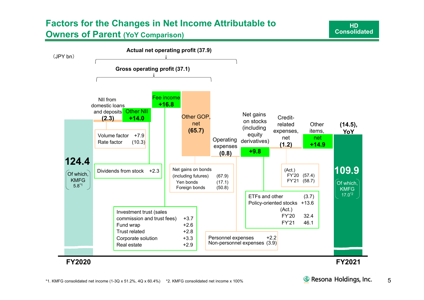## **Factors for the Changes in Net Income Attributable to**

**Owners of Parent (YoY Comparison)**



**HDConsolidated**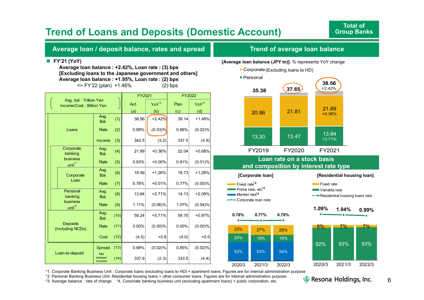### **Trend of Loans and Deposits (Domestic Account)**

#### **Average loan / deposit balance, rates and spread**

#### **FY'21 (YoY)**

**Average loan balance : +2.42%, Loan rate : (3) bps [Excluding loans to the Japanese government and others] Average loan balance : +1.95%, Loan rate : (2) bps** => FY'22 (plan) +1.46% (2) bps

|                                                    |                                  |      | FY2021 |                   | FY2022 |                   |
|----------------------------------------------------|----------------------------------|------|--------|-------------------|--------|-------------------|
| Avg. bal: Trillion Yen<br>Income/Cost: Billion Yen |                                  |      | Act.   | YoY <sup>*3</sup> | Plan   | YoY <sup>*3</sup> |
|                                                    |                                  |      | (a)    | (b)               | (c)    | (d)               |
|                                                    | Avg.<br>Bal.                     | (1)  | 38.56  | $+2.42%$          | 39.14  | $+1.48%$          |
| Loans                                              | Rate                             | (2)  | 0.88%  | (0.03)%           | 0.86%  | (0.02)%           |
|                                                    | Income                           | (3)  | 342.5  | (3.2)             | 337.5  | (4.9)             |
| Corporate<br>banking                               | Avg.<br>Bal.                     | (4)  | 21.89  | $+0.36%$          | 22.04  | $+0.68%$          |
| business<br>unit <sup>*1</sup>                     | Rate                             | (5)  | 0.83%  | $+0.00%$          | 0.81%  | (0.01)%           |
| Corporate                                          | Avg.<br>Bal.                     | (6)  | 18.49  | $+1.26%$          | 18.73  | $+1.28%$          |
| Loan                                               | Rate                             | (7)  | 0.78%  | $+0.01%$          | 0.77%  | (0.00)%           |
| Personal<br>banking                                | Avg.<br>Bal.                     | (8)  | 13.84  | $+2.71%$          | 14.13  | $+2.08%$          |
| business<br>$unit^2$                               | Rate                             | (9)  | 1.11%  | $(0.06)\%$        | 1.07%  | (0.04)%           |
|                                                    | Avg.<br>Bal.                     | (10) | 59.24  | $+5.71%$          | 59.75  | $+0.87%$          |
| <b>Deposits</b><br>(Including NCDs)                | Rate                             | (11) | 0.00%  | (0.00)%           | 0.00%  | (0.00)%           |
|                                                    | Cost                             | (12) | (4.5)  | $+0.8$            | (4.0)  | $+0.5$            |
|                                                    | Spread                           | (13) | 0.88%  | (0.02)%           | 0.85%  | (0.02)%           |
| Loan-to-deposit                                    | <b>Net</b><br>interest<br>income | (14) | 337.9  | (2.3)             | 333.5  | (4.4)             |

#### **Trend of average loan balance**

**[Average loan balance (JPY tn)]** % represents YoY change





**Residential housing loans rate** 



\*1. Corporate Banking Business Unit : Corporate loans (excluding loans to HD) + apartment loans, Figures are for internal administration purpose

53%

24%

23%

**0.78%**

Market rate<sup>\*4</sup> **-Corporate loan rate** 

53% 54%

19%

28%

**0.78%**

19%

2020/3 2021/3 2022/3

27%

**0.77%**

\*2. Personal Banking Business Unit: Residential housing loans + other consumer loans, Figures are for internal administration purpose

\*3. Average balance : rate of change \*4. Corporate banking business unit (excluding apartment loans) + public corporation, etc.

**& Resona Holdings, Inc.**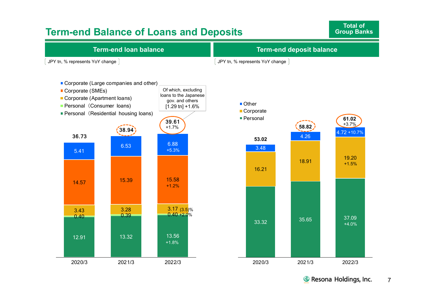### **Term-end Balance of Loans and Deposits**

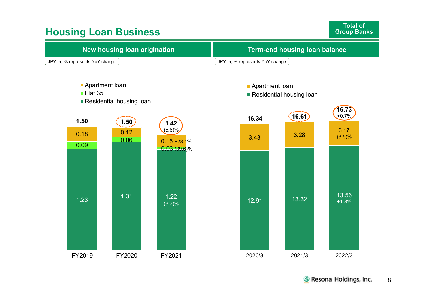### **Housing Loan Business**

**Total of Group Banks**

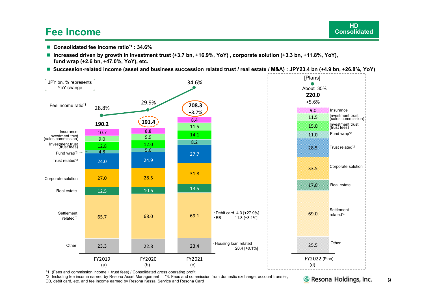### **Fee Income**

- **Consolidated fee income ratio\*1 : 34.6%**
- **Increased driven by growth in investment trust (+3.7 bn, +16.9%, YoY) , corporate solution (+3.3 bn, +11.8%, YoY), fund wrap (+2.6 bn, +47.0%, YoY), etc.**
- **Succession-related income (asset and business succession related trust / real estate / M&A) : JPY23.4 bn (+4.9 bn, +26.8%, YoY)**



\*1. (Fees and commission income + trust fees) / Consolidated gross operating profit

\*2. Including fee income earned by Resona Asset Management \*3. Fees and commission from domestic exchange, account transfer,

EB, debit card, etc. and fee income earned by Resona Kessai Service and Resona Card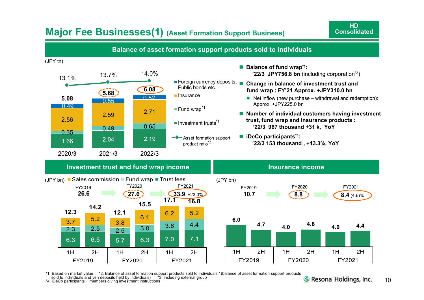### **Major Fee Businesses(1) (Asset Formation Support Business)**



\*1. Based on market value \*2. Balance of asset formation support products sold to individuals / (balance of asset formation support products<br>sold to individuals and yen deposits held by individuals) \*3. Including externa \*4. iDeCo participants + members giving investment instructions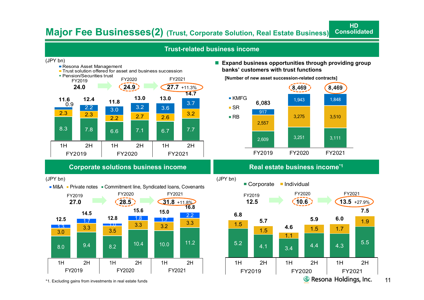#### **Major Fee Businesses(2) (Trust, Corporate Solution, Real Estate Business) Consolidated**

#### **Trust-related business income**



**Resona Asset Management** 





#### **Expand business opportunities through providing group banks' customers with trust functions**

**HD**





(JPY bn)



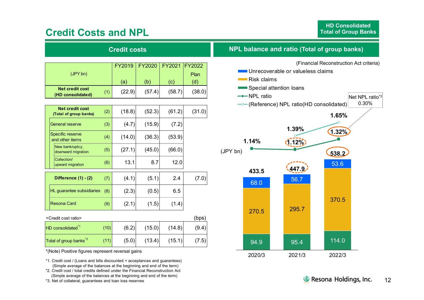### **Credit Costs and NPL**

| <b>Credit costs</b>                              |     |        |               |        |               |  |  |  |
|--------------------------------------------------|-----|--------|---------------|--------|---------------|--|--|--|
|                                                  |     | FY2019 | <b>FY2020</b> | FY2021 | <b>FY2022</b> |  |  |  |
| (JPYbn)                                          |     | (a)    | (b)           | (c)    | Plan<br>(d)   |  |  |  |
| <b>Net credit cost</b><br>(HD consolidated)      | (1) | (22.9) | (57.4)        | (58.7) | (38.0)        |  |  |  |
|                                                  |     |        |               |        |               |  |  |  |
| <b>Net credit cost</b><br>(Total of group banks) | (2) | (18.8) | (52.3)        | (61.2) | (31.0)        |  |  |  |
| <b>General reserve</b>                           | (3) | (4.7)  | (15.9)        | (7.2)  |               |  |  |  |
| Specific reserve<br>and other items              | (4) | (14.0) | (36.3)        | (53.9) |               |  |  |  |
| New bankruptcy,<br>downward migration            | (5) | (27.1) | (45.0)        | (66.0) |               |  |  |  |

| apwaru migration                 |       |       |       |                |
|----------------------------------|-------|-------|-------|----------------|
| Difference $(1) - (2)$           | (4.1) | (5.1) | 2.4   | $^{\prime}.0)$ |
| HL guarantee subsidiaries<br>(8) | (2.3) | (0.5) | 6.5   |                |
| Resona Card<br>(9)               | (2.1) | (1.5) | (1.4) |                |

 $(6)$  13.1 8.7 12.0

| <credit cost="" ratio=""></credit> |      |       |        |        | (bps) |
|------------------------------------|------|-------|--------|--------|-------|
| HD consolidated <sup>1</sup>       | (10) | (6.2) | (15.0) | (14.8) | (9.4) |
| Total of group banks <sup>*2</sup> | (11) | (5.0) | (13.4) | (15.1) | (7.5) |

\*(Note) Positive figures represent reversal gains

Collection/upward migration

\*1. Credit cost / (Loans and bills discounted + acceptances and guarantees) (Simple average of the balances at the beginning and end of the term)

\*2. Credit cost / total credits defined under the Financial Reconstruction Act (Simple average of the balances at the beginning and end of the term)

\*3. Net of collateral, guarantees and loan loss reserves

#### **NPL balance and ratio (Total of group banks)**

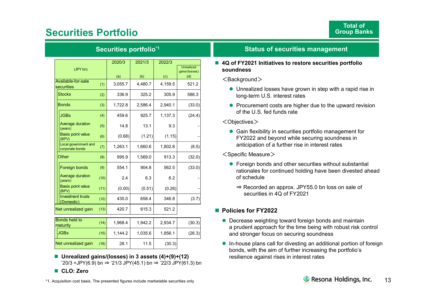### **Securities Portfolio**

|                                         |      | 2020/3  | 2021/3  | 2022/3  |                              |
|-----------------------------------------|------|---------|---------|---------|------------------------------|
| (JPY bn)                                |      |         |         |         | Unrealized<br>gains/(losses) |
|                                         |      | (a)     | (b)     | (c)     | (d)                          |
| Available-for-sale<br>securities        | (1)  | 3,055.7 | 4,480.7 | 4,159.5 | 521.2                        |
| <b>Stocks</b>                           | (2)  | 336.9   | 325.2   | 305.9   | 586.3                        |
| <b>Bonds</b>                            | (3)  | 1,722.8 | 2,586.4 | 2,940.1 | (33.0)                       |
| <b>JGBs</b>                             | (4)  | 459.6   | 925.7   | 1,137.3 | (24.4)                       |
| Average duration<br>(years)             | (5)  | 14.8    | 13.1    | 9.3     |                              |
| <b>Basis point value</b><br>(BPV)       | (6)  | (0.68)  | (1.21)  | (1.15)  |                              |
| Local government and<br>corporate bonds | (7)  | 1,263.1 | 1,660.6 | 1,802.8 | (8.5)                        |
| Other                                   | (8)  | 995.9   | 1,569.0 | 913.3   | (32.0)                       |
| Foreign bonds                           | (9)  | 554.1   | 904.8   | 562.5   | (33.0)                       |
| Average duration<br>(years)             | (10) | 2.4     | 6.3     | 6.2     |                              |
| <b>Basis point value</b><br>(BPV)       | (11) | (0.00)  | (0.51)  | (0.26)  |                              |
| <b>Investment trusts</b><br>(Domestic)  | (12) | 435.0   | 658.4   | 346.8   | (3.7)                        |
| Net unrealized gain                     | (13) | 420.7   | 615.3   | 521.2   |                              |
| <b>Bonds held to</b>                    | (14) | 1,968.4 | 1,942.2 | 2,934.7 | (30.3)                       |
| maturity                                |      |         |         |         |                              |
| <b>JGBs</b>                             | (15) | 1,144.2 | 1,035.6 | 1,856.1 | (26.3)                       |
| Net unrealized gain                     | (16) | 28.1    | 11.5    | (30.3)  |                              |

**Securities portfolio\*1**

 **Unrealized gains/(losses) in 3 assets (4)+(9)+(12)** '20/3 +JPY(6.9) bn <sup>⇒</sup> '21/3 JPY(45.1) bn <sup>⇒</sup> '22/3 JPY(61.3) bn

#### **CLO: Zero**

#### **Status of securities management**

 **4Q of FY2021 Initiatives to restore securities portfolio soundness**

#### <Background>

- Unrealized losses have grown in step with a rapid rise in long-term U.S. interest rates
- Procurement costs are higher due to the upward revision of the U.S. fed funds rate

#### <Objectives>

 Gain flexibility in securities portfolio management for FY2022 and beyond while securing soundness in anticipation of a further rise in interest rates

#### $\leq$ Specific Measure $>$

- Foreign bonds and other securities without substantial rationales for continued holding have been divested ahead of schedule
	- ⇒ Recorded an approx. JPY55.0 bn loss on sale of securities in 4Q of FY2021

#### ■ Policies for FY2022

- Decrease weighting toward foreign bonds and maintain a prudent approach for the time being with robust risk control and stronger focus on securing soundness
- In-house plans call for divesting an additional portion of foreign bonds, with the aim of further increasing the portfolio's resilience against rises in interest rates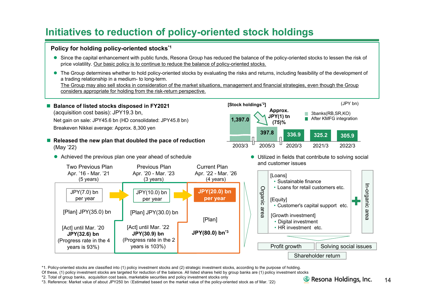### **Initiatives to reduction of policy-oriented stock holdings**

#### **Policy for holding policy-oriented stocks\*1**

- Since the capital enhancement with public funds, Resona Group has reduced the balance of the policy-oriented stocks to lessen the risk of price volatility. Our basic policy is to continue to reduce the balance of policy-oriented stocks.
- The Group determines whether to hold policy-oriented stocks by evaluating the risks and returns, including feasibility of the development of a trading relationship in a medium- to long-term.

The Group may also sell stocks in consideration of the market situations, management and financial strategies, even though the Group considers appropriate for holding from the risk-return perspective.



\*1. Policy-oriented stocks are classified into (1) policy investment stocks and (2) strategic investment stocks, according to the purpose of holding.

Of these, (1) policy investment stocks are targeted for reduction of the balance. All listed shares held by group banks are (1) policy investment stocks

\*2. Total of group banks, acquisition cost basis, marketable securities and policy investment stocks only

\*3. Reference: Market value of about JPY250 bn (Estimated based on the market value of the policy-oriented stock as of Mar. '22)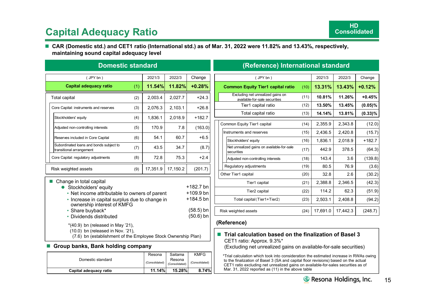### **Capital Adequacy Ratio**

#### ■ CAR (Domestic std.) and CET1 ratio (International std.) as of Mar. 31, 2022 were 11.82% and 13.43%, respectively, **maintaining sound capital adequacy level**

| <b>Domestic standard</b>                                                                                                                                                                                                                                                                                                                                                                                                                              |     |          |          |          |  |  |  |  |  |
|-------------------------------------------------------------------------------------------------------------------------------------------------------------------------------------------------------------------------------------------------------------------------------------------------------------------------------------------------------------------------------------------------------------------------------------------------------|-----|----------|----------|----------|--|--|--|--|--|
| (JPYbn)                                                                                                                                                                                                                                                                                                                                                                                                                                               |     | 2021/3   | 2022/3   | Change   |  |  |  |  |  |
| Capital adequacy ratio                                                                                                                                                                                                                                                                                                                                                                                                                                | (1) | 11.54%   | 11.82%   | $+0.28%$ |  |  |  |  |  |
| Total capital                                                                                                                                                                                                                                                                                                                                                                                                                                         | (2) | 2,003.4  | 2,027.7  | $+24.3$  |  |  |  |  |  |
| Core Capital: instruments and reserves                                                                                                                                                                                                                                                                                                                                                                                                                | (3) | 2.076.3  | 2,103.1  | $+26.8$  |  |  |  |  |  |
| Stockholders' equity                                                                                                                                                                                                                                                                                                                                                                                                                                  | (4) | 1,836.1  | 2,018.9  | $+182.7$ |  |  |  |  |  |
| Adjusted non-controlling interests                                                                                                                                                                                                                                                                                                                                                                                                                    | (5) | 170.9    | 7.8      | (163.0)  |  |  |  |  |  |
| Reserves included in Core Capital                                                                                                                                                                                                                                                                                                                                                                                                                     | (6) | 54.1     | 60.7     | $+6.5$   |  |  |  |  |  |
| Subordinated loans and bonds subject to<br>transitional arrangement                                                                                                                                                                                                                                                                                                                                                                                   | (7) | 43.5     | 34.7     | (8.7)    |  |  |  |  |  |
| Core Capital: regulatory adjustments                                                                                                                                                                                                                                                                                                                                                                                                                  | (8) | 72.8     | 75.3     | $+2.4$   |  |  |  |  |  |
| Risk weighted assets                                                                                                                                                                                                                                                                                                                                                                                                                                  | (9) | 17,351.9 | 17,150.2 | (201.7)  |  |  |  |  |  |
| Change in total capital<br>+182.7 bn<br>Stockholders' equity<br>$+109.9$ bn<br>• Net income attributable to owners of parent<br>$+184.5$ bn<br>• Increase in capital surplus due to change in<br>ownership interest of KMFG<br>$(58.5)$ bn<br>• Share buyback*<br>$(50.6)$ bn<br>• Dividends distributed<br>$*(40.9)$ bn (released in May '21),<br>(10.0) bn (released in Nov. '21),<br>(7.6) bn (establishment of the Employee Stock Ownership Plan) |     |          |          |          |  |  |  |  |  |
| Group banks, Bank holding company                                                                                                                                                                                                                                                                                                                                                                                                                     |     |          |          |          |  |  |  |  |  |
|                                                                                                                                                                                                                                                                                                                                                                                                                                                       |     |          |          |          |  |  |  |  |  |

#### **(Reference) International standard**

| (JPYbn)                                                            |      | 2021/3   | 2022/3   | Change     |
|--------------------------------------------------------------------|------|----------|----------|------------|
| <b>Common Equity Tier1 capital ratio</b>                           | (10) | 13.31%   | 13.43%   | $+0.12%$   |
| Excluding net unrealized gains on<br>available-for-sale securities | (11) | 10.81%   | 11.26%   | $+0.45%$   |
| Tier1 capital ratio                                                | (12) | 13.50%   | 13.45%   | $(0.05)\%$ |
| Total capital ratio                                                | (13) | 14.14%   | 13.81%   | $(0.33)\%$ |
| Common Equity Tier1 capital                                        | (14) | 2,355.9  | 2,343.8  | (12.0)     |
| Instruments and reserves                                           | (15) | 2,436.5  | 2,420.8  | (15.7)     |
| Stockholders' equity                                               | (16) | 1,836.1  | 2,018.9  | $+182.7$   |
| Net unrealized gains on available-for-sale<br>securities           | (17) | 442.9    | 378.5    | (64.3)     |
| Adjusted non-controlling interests                                 | (18) | 143.4    | 3.6      | (139.8)    |
| Regulatory adjustments                                             | (19) | 80.5     | 76.9     | (3.6)      |
| Other Tier1 capital                                                | (20) | 32.8     | 2.6      | (30.2)     |
| Tier1 capital                                                      | (21) | 2,388.8  | 2,346.5  | (42.3)     |
| Tier <sub>2</sub> capital                                          | (22) | 114.2    | 62.3     | (51.9)     |
| Total capital (Tier1+Tier2)                                        | (23) | 2,503.1  | 2,408.8  | (94.2)     |
| Risk weighted assets                                               | (24) | 17,691.0 | 17,442.3 | (248.7)    |

#### **(Reference)**

#### ■ Trial calculation based on the finalization of Basel 3 CET1 ratio: Approx. 9.3%\* (Excluding net unrealized gains on available-for-sale securities)

\*Trial calculation which took into consideration the estimated increase in RWAs owing to the finalization of Basel 3 (SA and capital floor revisions) based on the actual CET1 ratio excluding net unrealized gains on available-for-sales securities as of Mar. 31, 2022 reported as (11) in the above table

| Capital adequacy ratio | 11.14%         | $15.28\%$                | 8.74%          |
|------------------------|----------------|--------------------------|----------------|
| Domestic standard      | (Consolidated) | Resona<br>(Consolidated) | (Consolidated) |
|                        | Resona         | Saitama                  | <b>KMFG</b>    |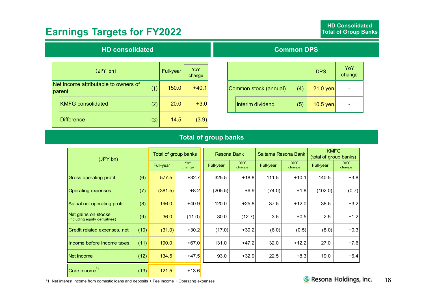### **Earnings Targets for FY2022**

#### **HD consolidated**

| (JPY bn)                                       |     | <b>Full-year</b> | YoY<br>change |
|------------------------------------------------|-----|------------------|---------------|
| Net income attributable to owners of<br>parent | (1) | 150.0            | $+40.1$       |
| <b>KMFG</b> consolidated                       | (2) | 20.0             | $+3.0$        |
| <b>Difference</b>                              | (3) | 14.5             | (3.9)         |

#### **Common DPS**

|                       |     | <b>DPS</b> | YoY<br>change |
|-----------------------|-----|------------|---------------|
| Common stock (annual) | (4) | $21.0$ yen |               |
| Interim dividend      | (5) | $10.5$ yen |               |

### **Total of group banks**

| (JPY bn)                                              |      | Total of group banks |               | <b>Resona Bank</b> |               | Saitama Resona Bank |                      | <b>KMFG</b><br>(total of group banks) |               |
|-------------------------------------------------------|------|----------------------|---------------|--------------------|---------------|---------------------|----------------------|---------------------------------------|---------------|
|                                                       |      | Full-year            | YoY<br>change | Full-year          | YoY<br>change | Full-year           | <b>YoY</b><br>change | Full-year                             | YoY<br>change |
| Gross operating profit                                | (6)  | 577.5                | $+32.7$       | 325.5              | $+18.8$       | 111.5               | $+10.1$              | 140.5                                 | $+3.8$        |
| <b>Operating expenses</b>                             | (7)  | (381.5)              | $+8.2$        | (205.5)            | $+6.9$        | (74.0)              | $+1.8$               | (102.0)                               | (0.7)         |
| Actual net operating profit                           | (8)  | 196.0                | $+40.9$       | 120.0              | $+25.8$       | 37.5                | $+12.0$              | 38.5                                  | $+3.2$        |
| Net gains on stocks<br>(including equity derivatives) | (9)  | 36.0                 | (11.0)        | 30.0               | (12.7)        | 3.5                 | $+0.5$               | 2.5                                   | $+1.2$        |
| Credit related expenses, net                          | (10) | (31.0)               | $+30.2$       | (17.0)             | $+30.2$       | (6.0)               | (0.5)                | (8.0)                                 | $+0.3$        |
| Income before income taxes                            | (11) | 190.0                | $+67.0$       | 131.0              | $+47.2$       | 32.0                | $+12.2$              | 27.0                                  | $+7.6$        |
| Net income                                            | (12) | 134.5                | $+47.5$       | 93.0               | $+32.9$       | 22.5                | $+8.3$               | 19.0                                  | $+6.4$        |
| Core income <sup>*1</sup>                             | (13) | 121.5                | $+13.6$       |                    |               |                     |                      |                                       |               |

\*1. Net interest income from domestic loans and deposits + Fee income + Operating expenses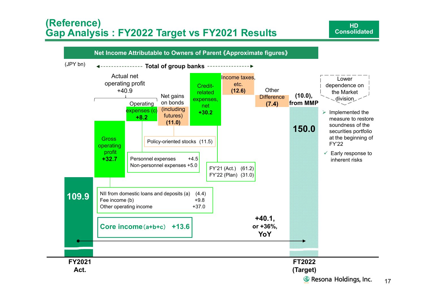### **(Reference) Gap Analysis : FY2022 Target vs FY2021 Results**

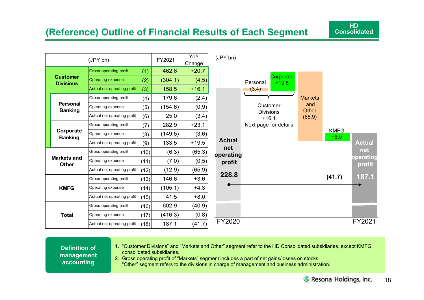### **(Reference) Outline of Financial Results of Each Segment**

|                                     |                                   | FY2021                        | YoY<br>Change |         |         |
|-------------------------------------|-----------------------------------|-------------------------------|---------------|---------|---------|
| <b>Customer</b><br><b>Divisions</b> |                                   | <b>Gross operating profit</b> | (1)           | 462.6   | $+20.7$ |
|                                     |                                   | <b>Operating expense</b>      | (2)           | (304.1) | (4.5)   |
|                                     |                                   | Actual net operating profit   | (3)           | 158.5   | $+16.1$ |
|                                     | <b>Personal</b><br><b>Banking</b> | Gross operating profit        | (4)           | 179.6   | (2.4)   |
|                                     |                                   | Operating expense             | (5)           | (154.6) | (0.9)   |
|                                     |                                   | Actual net operating profit   | (6)           | 25.0    | (3.4)   |
|                                     | Corporate<br><b>Banking</b>       | Gross operating profit        | (7)           | 282.9   | $+23.1$ |
|                                     |                                   | Operating expense             | (8)           | (149.5) | (3.6)   |
|                                     |                                   | Actual net operating profit   | (9)           | 133.5   | $+19.5$ |
| <b>Markets and</b><br><b>Other</b>  |                                   | Gross operating profit        | (10)          | (6.3)   | (65.3)  |
|                                     |                                   | Operating expense             | (11)          | (7.0)   | (0.5)   |
|                                     |                                   | Actual net operating profit   | (12)          | (12.9)  | (65.9)  |
| <b>KMFG</b>                         |                                   | Gross operating profit        | (13)          | 146.6   | $+3.6$  |
|                                     |                                   | Operating expense             | (14)          | (105.1) | $+4.3$  |
|                                     |                                   | Actual net operating profit   | (15)          | 41.5    | $+8.0$  |
| Total                               |                                   | Gross operating profit        | (16)          | 602.9   | (40.9)  |
|                                     |                                   | Operating expense             | (17)          | (416.3) | (0.8)   |
|                                     |                                   | Actual net operating profit   | (18)          | 187.1   | (41.7)  |



**Definition of management accounting** 

1. "Customer Divisions" and "Markets and Other" segment refer to the HD Consolidated subsidiaries, except KMFG consolidated subsidiaries.

2. Gross operating profit of "Markets" segment includes a part of net gains/losses on stocks. "Other" segment refers to the divisions in charge of management and business administration.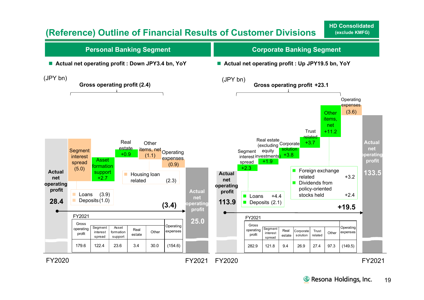### **(Reference) Outline of Financial Results of Customer Divisions**

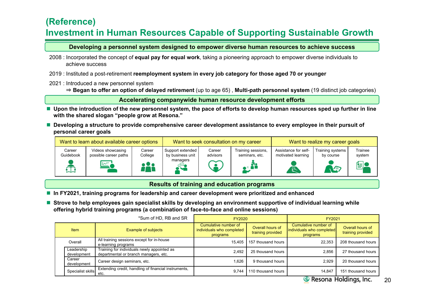### **(Reference) Investment in Human Resources Capable of Supporting Sustainable Growth**

**Developing a personnel system designed to empower diverse human resources to achieve success**

- 2008 : Incorporated the concept of **equal pay for equal work**, taking a pioneering approach to empower diverse individuals to achieve success
- 2019 : Instituted a post-retirement **reemployment system in every job category for those aged 70 or younger**
- 2021 : Introduced a new personnel system
	- ⇒ **Began to offer an option of delayed retirement** (up to age 65) , **Multi-path personnel system** (19 distinct job categories)

**Accelerating companywide human resource development efforts**

- Upon the introduction of the new personnel system, the pace of efforts to develop human resources sped up further in line **with the shared slogan "people grow at Resona."**
- Developing a structure to provide comprehensive career development assistance to every employee in their pursuit of **personal career goals**

| Want to learn about available career options |                                            |                   | Want to seek consultation on my career |                    |                                      | Want to realize my career goals            |                               |                   |
|----------------------------------------------|--------------------------------------------|-------------------|----------------------------------------|--------------------|--------------------------------------|--------------------------------------------|-------------------------------|-------------------|
| Career<br>Guidebook                          | Videos showcasing<br>possible career paths | Career<br>College | Support extended<br>by business unit   | Career<br>advisors | Training sessions,<br>seminars, etc. | Assistance for self-<br>motivated learning | Training systems<br>by course | Trainee<br>system |
|                                              | $\mathbb{Z}^1$                             | ) U O             | managers                               |                    |                                      |                                            | NE                            | 闺                 |

#### **Results of training and education programs**

- **In FY2021, training programs for leadership and career development were prioritized and enhanced**
- Strove to help employees gain specialist skills by developing an environment supportive of individual learning while **offering hybrid training programs (a combination of face-to-face and online sessions)**

|  |                           | *Sum of HD, RB and SR                                                                | FY2020                                                        |                                       | FY2021                                                        |                                       |  |
|--|---------------------------|--------------------------------------------------------------------------------------|---------------------------------------------------------------|---------------------------------------|---------------------------------------------------------------|---------------------------------------|--|
|  | <b>Item</b>               | <b>Example of subjects</b>                                                           | Cumulative number of<br>individuals who completed<br>programs | Overall hours of<br>training provided | Cumulative number of<br>individuals who completed<br>programs | Overall hours of<br>training provided |  |
|  | Overall                   | All training sessions except for in-house<br>e-learning programs                     | 15.405                                                        | 157 thousand hours                    | 22.353                                                        | 208 thousand hours                    |  |
|  | Leadership<br>development | Training for individuals newly appointed as<br>departmental or branch managers, etc. | 2.492                                                         | 25 thousand hours                     | 2.856                                                         | 27 thousand hours                     |  |
|  | Career<br>development     | Career design seminars, etc.                                                         | .626                                                          | 9 thousand hours                      | 2.929                                                         | 20 thousand hours                     |  |
|  | Specialist skills         | Extending credit, handling of financial instruments,<br>etc.                         | 9.744                                                         | 110 thousand hours                    | 14.847<br>$-$                                                 | 151 thousand hours<br><del></del>     |  |